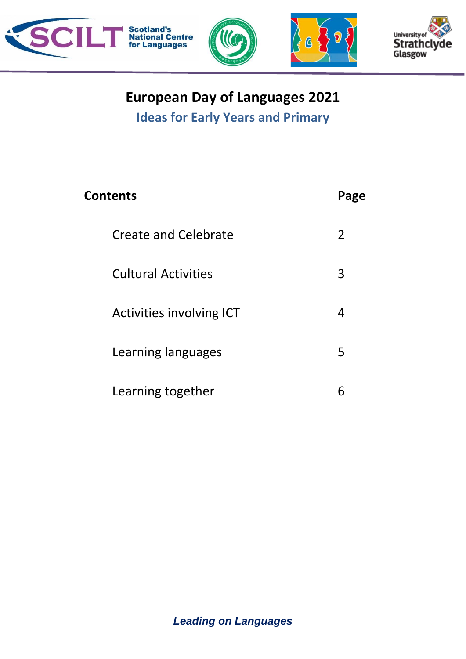

# **European Day of Languages 2021**

**Ideas for Early Years and Primary**

| <b>Contents</b>             | Page |
|-----------------------------|------|
| <b>Create and Celebrate</b> | 2    |
| <b>Cultural Activities</b>  | 3    |
| Activities involving ICT    | 4    |
| Learning languages          | 5    |
| Learning together           | 6    |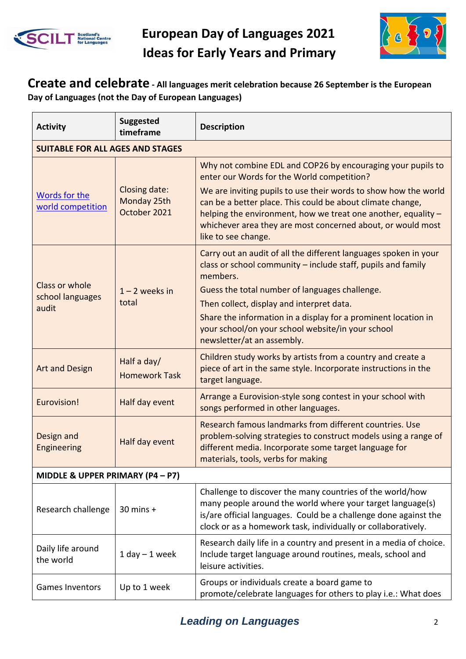



#### **Create and celebrate - All languages merit celebration because 26 September is the European Day of Languages (not the Day of European Languages)**

| <b>Activity</b>                         | <b>Suggested</b><br>timeframe                | <b>Description</b>                                                                                                                                                                                                                                                                   |  |
|-----------------------------------------|----------------------------------------------|--------------------------------------------------------------------------------------------------------------------------------------------------------------------------------------------------------------------------------------------------------------------------------------|--|
| <b>SUITABLE FOR ALL AGES AND STAGES</b> |                                              |                                                                                                                                                                                                                                                                                      |  |
| Words for the<br>world competition      | Closing date:<br>Monday 25th<br>October 2021 | Why not combine EDL and COP26 by encouraging your pupils to<br>enter our Words for the World competition?                                                                                                                                                                            |  |
|                                         |                                              | We are inviting pupils to use their words to show how the world<br>can be a better place. This could be about climate change,<br>helping the environment, how we treat one another, equality -<br>whichever area they are most concerned about, or would most<br>like to see change. |  |
|                                         | $1 - 2$ weeks in                             | Carry out an audit of all the different languages spoken in your<br>class or school community – include staff, pupils and family<br>members.                                                                                                                                         |  |
| Class or whole<br>school languages      |                                              | Guess the total number of languages challenge.                                                                                                                                                                                                                                       |  |
| audit                                   | total                                        | Then collect, display and interpret data.                                                                                                                                                                                                                                            |  |
|                                         |                                              | Share the information in a display for a prominent location in<br>your school/on your school website/in your school<br>newsletter/at an assembly.                                                                                                                                    |  |
| <b>Art and Design</b>                   | Half a day/<br><b>Homework Task</b>          | Children study works by artists from a country and create a<br>piece of art in the same style. Incorporate instructions in the<br>target language.                                                                                                                                   |  |
| Eurovision!                             | Half day event                               | Arrange a Eurovision-style song contest in your school with<br>songs performed in other languages.                                                                                                                                                                                   |  |
| Design and<br>Engineering               | Half day event                               | Research famous landmarks from different countries. Use<br>problem-solving strategies to construct models using a range of<br>different media. Incorporate some target language for<br>materials, tools, verbs for making                                                            |  |
| MIDDLE & UPPER PRIMARY (P4 - P7)        |                                              |                                                                                                                                                                                                                                                                                      |  |
| Research challenge                      | $30$ mins $+$                                | Challenge to discover the many countries of the world/how<br>many people around the world where your target language(s)<br>is/are official languages. Could be a challenge done against the<br>clock or as a homework task, individually or collaboratively.                         |  |
| Daily life around<br>the world          | $1$ day $-1$ week                            | Research daily life in a country and present in a media of choice.<br>Include target language around routines, meals, school and<br>leisure activities.                                                                                                                              |  |
| Games Inventors                         | Up to 1 week                                 | Groups or individuals create a board game to<br>promote/celebrate languages for others to play i.e.: What does                                                                                                                                                                       |  |

### **Leading on Languages** 2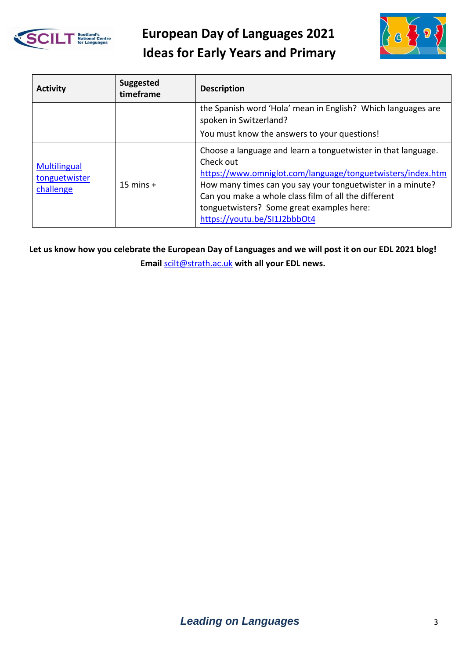



| <b>Activity</b>                                   | <b>Suggested</b><br>timeframe | <b>Description</b>                                                                                                                                                                                                                                                                                                                          |
|---------------------------------------------------|-------------------------------|---------------------------------------------------------------------------------------------------------------------------------------------------------------------------------------------------------------------------------------------------------------------------------------------------------------------------------------------|
|                                                   |                               | the Spanish word 'Hola' mean in English? Which languages are<br>spoken in Switzerland?                                                                                                                                                                                                                                                      |
|                                                   |                               | You must know the answers to your questions!                                                                                                                                                                                                                                                                                                |
| <b>Multilingual</b><br>tonguetwister<br>challenge | $15 \text{ mins} +$           | Choose a language and learn a tonguetwister in that language.<br>Check out<br>https://www.omniglot.com/language/tonguetwisters/index.htm<br>How many times can you say your tonguetwister in a minute?<br>Can you make a whole class film of all the different<br>tonguetwisters? Some great examples here:<br>https://youtu.be/SI1J2bbbOt4 |

**Let us know how you celebrate the European Day of Languages and we will post it on our EDL 2021 blog! Email** [scilt@strath.ac.uk](mailto:scilt@strath.ac.uk) **with all your EDL news.**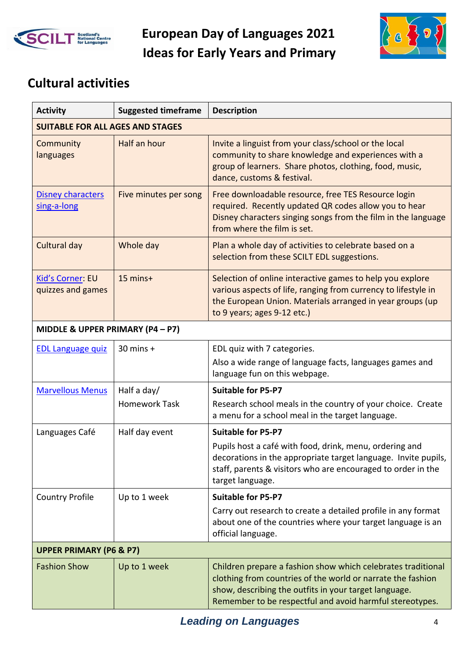



### **Cultural activities**

| <b>Activity</b>                         | <b>Suggested timeframe</b> | <b>Description</b>                                                                                                                                                                                                                               |
|-----------------------------------------|----------------------------|--------------------------------------------------------------------------------------------------------------------------------------------------------------------------------------------------------------------------------------------------|
| <b>SUITABLE FOR ALL AGES AND STAGES</b> |                            |                                                                                                                                                                                                                                                  |
| Community<br>languages                  | Half an hour               | Invite a linguist from your class/school or the local<br>community to share knowledge and experiences with a<br>group of learners. Share photos, clothing, food, music,<br>dance, customs & festival.                                            |
| Disney characters<br>sing-a-long        | Five minutes per song      | Free downloadable resource, free TES Resource login<br>required. Recently updated QR codes allow you to hear<br>Disney characters singing songs from the film in the language<br>from where the film is set.                                     |
| Cultural day                            | Whole day                  | Plan a whole day of activities to celebrate based on a<br>selection from these SCILT EDL suggestions.                                                                                                                                            |
| Kid's Corner: EU<br>quizzes and games   | 15 mins+                   | Selection of online interactive games to help you explore<br>various aspects of life, ranging from currency to lifestyle in<br>the European Union. Materials arranged in year groups (up<br>to 9 years; ages 9-12 etc.)                          |
| MIDDLE & UPPER PRIMARY (P4 - P7)        |                            |                                                                                                                                                                                                                                                  |
| <b>EDL Language quiz</b>                | $30$ mins $+$              | EDL quiz with 7 categories.                                                                                                                                                                                                                      |
|                                         |                            | Also a wide range of language facts, languages games and<br>language fun on this webpage.                                                                                                                                                        |
| <b>Marvellous Menus</b>                 | Half a day/                | <b>Suitable for P5-P7</b>                                                                                                                                                                                                                        |
|                                         | <b>Homework Task</b>       | Research school meals in the country of your choice. Create<br>a menu for a school meal in the target language.                                                                                                                                  |
| Languages Café                          | Half day event             | <b>Suitable for P5-P7</b>                                                                                                                                                                                                                        |
|                                         |                            | Pupils host a café with food, drink, menu, ordering and<br>decorations in the appropriate target language. Invite pupils,<br>staff, parents & visitors who are encouraged to order in the<br>target language.                                    |
| <b>Country Profile</b>                  | Up to 1 week               | <b>Suitable for P5-P7</b>                                                                                                                                                                                                                        |
|                                         |                            | Carry out research to create a detailed profile in any format<br>about one of the countries where your target language is an<br>official language.                                                                                               |
| <b>UPPER PRIMARY (P6 &amp; P7)</b>      |                            |                                                                                                                                                                                                                                                  |
| <b>Fashion Show</b>                     | Up to 1 week               | Children prepare a fashion show which celebrates traditional<br>clothing from countries of the world or narrate the fashion<br>show, describing the outfits in your target language.<br>Remember to be respectful and avoid harmful stereotypes. |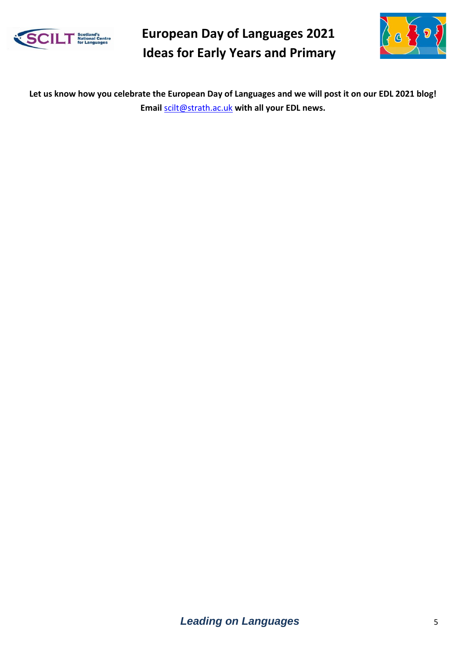



**Let us know how you celebrate the European Day of Languages and we will post it on our EDL 2021 blog! Email** [scilt@strath.ac.uk](mailto:scilt@strath.ac.uk) **with all your EDL news.**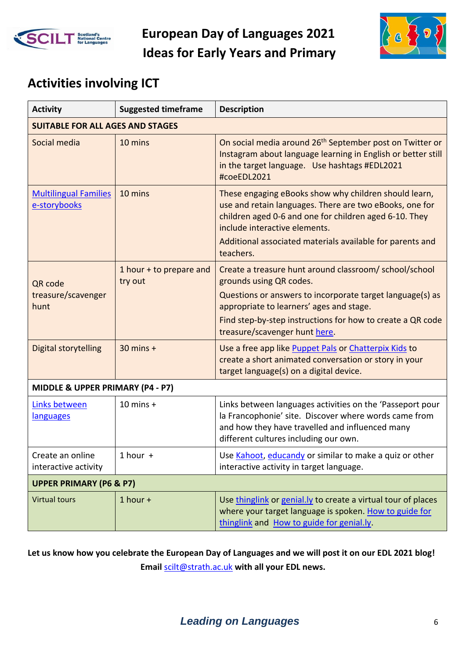



## **Activities involving ICT**

| <b>Activity</b>                              | <b>Suggested timeframe</b>         | <b>Description</b>                                                                                                                                                                                                                                                                       |
|----------------------------------------------|------------------------------------|------------------------------------------------------------------------------------------------------------------------------------------------------------------------------------------------------------------------------------------------------------------------------------------|
| <b>SUITABLE FOR ALL AGES AND STAGES</b>      |                                    |                                                                                                                                                                                                                                                                                          |
| Social media                                 | 10 mins                            | On social media around 26 <sup>th</sup> September post on Twitter or<br>Instagram about language learning in English or better still<br>in the target language. Use hashtags #EDL2021<br>#coeEDL2021                                                                                     |
| <b>Multilingual Families</b><br>e-storybooks | 10 mins                            | These engaging eBooks show why children should learn,<br>use and retain languages. There are two eBooks, one for<br>children aged 0-6 and one for children aged 6-10. They<br>include interactive elements.<br>Additional associated materials available for parents and<br>teachers.    |
| QR code<br>treasure/scavenger<br>hunt        | 1 hour + to prepare and<br>try out | Create a treasure hunt around classroom/school/school<br>grounds using QR codes.<br>Questions or answers to incorporate target language(s) as<br>appropriate to learners' ages and stage.<br>Find step-by-step instructions for how to create a QR code<br>treasure/scavenger hunt here. |
| <b>Digital storytelling</b>                  | $30$ mins +                        | Use a free app like Puppet Pals or Chatterpix Kids to<br>create a short animated conversation or story in your<br>target language(s) on a digital device.                                                                                                                                |
| MIDDLE & UPPER PRIMARY (P4 - P7)             |                                    |                                                                                                                                                                                                                                                                                          |
| Links between<br>languages                   | $10$ mins $+$                      | Links between languages activities on the 'Passeport pour<br>la Francophonie' site. Discover where words came from<br>and how they have travelled and influenced many<br>different cultures including our own.                                                                           |
| Create an online<br>interactive activity     | $1$ hour $+$                       | Use Kahoot, educandy or similar to make a quiz or other<br>interactive activity in target language.                                                                                                                                                                                      |
| <b>UPPER PRIMARY (P6 &amp; P7)</b>           |                                    |                                                                                                                                                                                                                                                                                          |
| <b>Virtual tours</b>                         | $1$ hour $+$                       | Use thinglink or genial.ly to create a virtual tour of places<br>where your target language is spoken. How to guide for<br>thinglink and How to guide for genial.ly.                                                                                                                     |

**Let us know how you celebrate the European Day of Languages and we will post it on our EDL 2021 blog! Email** [scilt@strath.ac.uk](mailto:scilt@strath.ac.uk) **with all your EDL news.**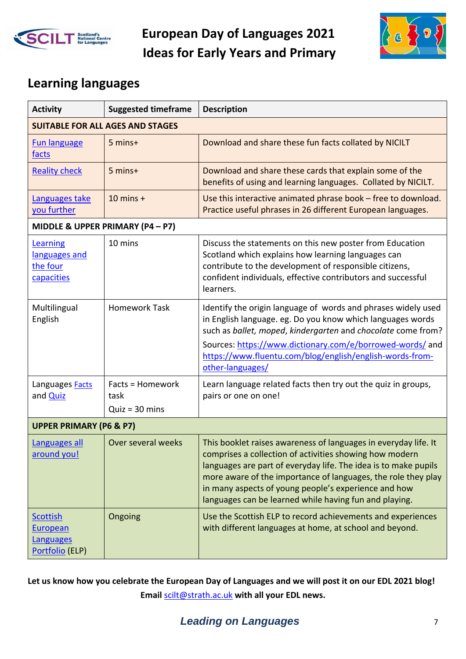



### **Learning languages**

| <b>Activity</b>                                                           | <b>Suggested timeframe</b>                   | <b>Description</b>                                                                                                                                                                                                                                                                                                                                                               |  |  |
|---------------------------------------------------------------------------|----------------------------------------------|----------------------------------------------------------------------------------------------------------------------------------------------------------------------------------------------------------------------------------------------------------------------------------------------------------------------------------------------------------------------------------|--|--|
|                                                                           | <b>SUITABLE FOR ALL AGES AND STAGES</b>      |                                                                                                                                                                                                                                                                                                                                                                                  |  |  |
| <b>Fun language</b><br>facts                                              | 5 mins+                                      | Download and share these fun facts collated by NICILT                                                                                                                                                                                                                                                                                                                            |  |  |
| <b>Reality check</b>                                                      | 5 mins+                                      | Download and share these cards that explain some of the<br>benefits of using and learning languages. Collated by NICILT.                                                                                                                                                                                                                                                         |  |  |
| Languages take<br>you further                                             | $10$ mins +                                  | Use this interactive animated phrase book - free to download.<br>Practice useful phrases in 26 different European languages.                                                                                                                                                                                                                                                     |  |  |
|                                                                           | MIDDLE & UPPER PRIMARY (P4 - P7)             |                                                                                                                                                                                                                                                                                                                                                                                  |  |  |
| Learning<br>languages and<br>the four<br>capacities                       | 10 mins                                      | Discuss the statements on this new poster from Education<br>Scotland which explains how learning languages can<br>contribute to the development of responsible citizens,<br>confident individuals, effective contributors and successful<br>learners.                                                                                                                            |  |  |
| Multilingual<br>English                                                   | <b>Homework Task</b>                         | Identify the origin language of words and phrases widely used<br>in English language. eg. Do you know which languages words<br>such as ballet, moped, kindergarten and chocolate come from?<br>Sources: https://www.dictionary.com/e/borrowed-words/ and<br>https://www.fluentu.com/blog/english/english-words-from-<br>other-languages/                                         |  |  |
| Languages Facts<br>and <b>Quiz</b>                                        | Facts = Homework<br>task<br>$Quiz = 30 mins$ | Learn language related facts then try out the quiz in groups,<br>pairs or one on one!                                                                                                                                                                                                                                                                                            |  |  |
|                                                                           | <b>UPPER PRIMARY (P6 &amp; P7)</b>           |                                                                                                                                                                                                                                                                                                                                                                                  |  |  |
| <b>Languages all</b><br>around you!                                       | Over several weeks                           | This booklet raises awareness of languages in everyday life. It<br>comprises a collection of activities showing how modern<br>languages are part of everyday life. The idea is to make pupils<br>more aware of the importance of languages, the role they play<br>in many aspects of young people's experience and how<br>languages can be learned while having fun and playing. |  |  |
| <b>Scottish</b><br><b>European</b><br><b>Languages</b><br>Portfolio (ELP) | Ongoing                                      | Use the Scottish ELP to record achievements and experiences<br>with different languages at home, at school and beyond.                                                                                                                                                                                                                                                           |  |  |

**Let us know how you celebrate the European Day of Languages and we will post it on our EDL 2021 blog! Email** [scilt@strath.ac.uk](mailto:scilt@strath.ac.uk) **with all your EDL news.**

### **Leading on Languages** 7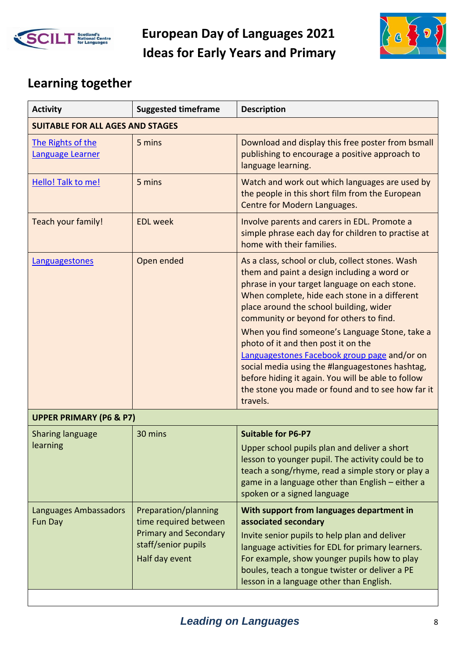



## **Learning together**

| <b>Activity</b>                         | <b>Suggested timeframe</b>                                                                                             | <b>Description</b>                                                                                                                                                                                                                                                                                                                                                                                                                                                                                                                                                                                         |
|-----------------------------------------|------------------------------------------------------------------------------------------------------------------------|------------------------------------------------------------------------------------------------------------------------------------------------------------------------------------------------------------------------------------------------------------------------------------------------------------------------------------------------------------------------------------------------------------------------------------------------------------------------------------------------------------------------------------------------------------------------------------------------------------|
| <b>SUITABLE FOR ALL AGES AND STAGES</b> |                                                                                                                        |                                                                                                                                                                                                                                                                                                                                                                                                                                                                                                                                                                                                            |
| The Rights of the<br>Language Learner   | 5 mins                                                                                                                 | Download and display this free poster from bsmall<br>publishing to encourage a positive approach to<br>language learning.                                                                                                                                                                                                                                                                                                                                                                                                                                                                                  |
| Hello! Talk to me!                      | 5 mins                                                                                                                 | Watch and work out which languages are used by<br>the people in this short film from the European<br>Centre for Modern Languages.                                                                                                                                                                                                                                                                                                                                                                                                                                                                          |
| Teach your family!                      | <b>EDL</b> week                                                                                                        | Involve parents and carers in EDL. Promote a<br>simple phrase each day for children to practise at<br>home with their families.                                                                                                                                                                                                                                                                                                                                                                                                                                                                            |
| Languagestones                          | Open ended                                                                                                             | As a class, school or club, collect stones. Wash<br>them and paint a design including a word or<br>phrase in your target language on each stone.<br>When complete, hide each stone in a different<br>place around the school building, wider<br>community or beyond for others to find.<br>When you find someone's Language Stone, take a<br>photo of it and then post it on the<br>Languagestones Facebook group page and/or on<br>social media using the #languagestones hashtag,<br>before hiding it again. You will be able to follow<br>the stone you made or found and to see how far it<br>travels. |
| <b>UPPER PRIMARY (P6 &amp; P7)</b>      |                                                                                                                        |                                                                                                                                                                                                                                                                                                                                                                                                                                                                                                                                                                                                            |
| <b>Sharing language</b><br>learning     | 30 mins                                                                                                                | <b>Suitable for P6-P7</b><br>Upper school pupils plan and deliver a short<br>lesson to younger pupil. The activity could be to<br>teach a song/rhyme, read a simple story or play a<br>game in a language other than English - either a<br>spoken or a signed language                                                                                                                                                                                                                                                                                                                                     |
| Languages Ambassadors<br>Fun Day        | Preparation/planning<br>time required between<br><b>Primary and Secondary</b><br>staff/senior pupils<br>Half day event | With support from languages department in<br>associated secondary<br>Invite senior pupils to help plan and deliver<br>language activities for EDL for primary learners.<br>For example, show younger pupils how to play<br>boules, teach a tongue twister or deliver a PE<br>lesson in a language other than English.                                                                                                                                                                                                                                                                                      |